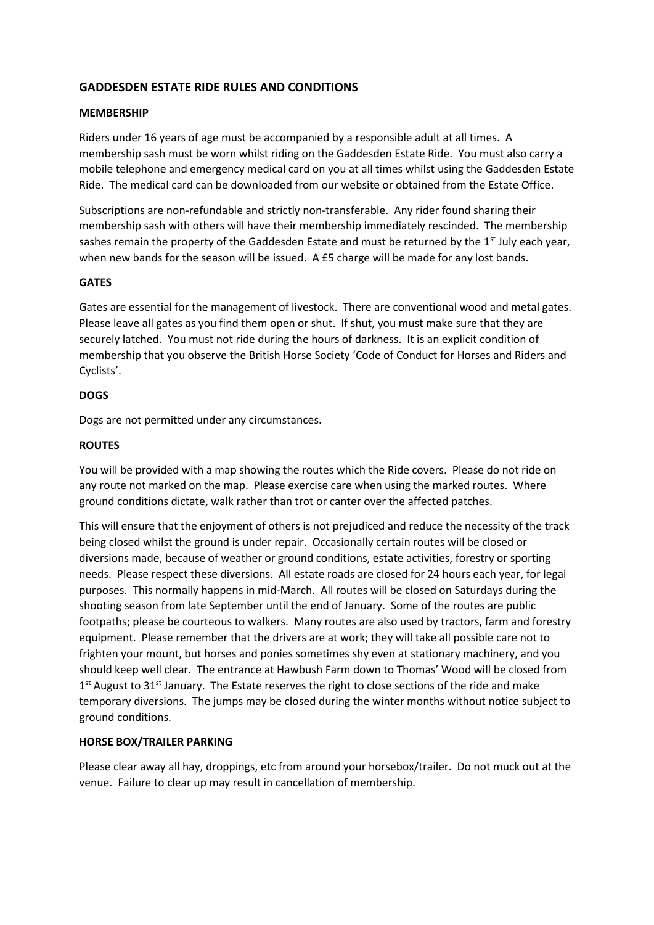# **GADDESDEN ESTATE RIDE RULES AND CONDITIONS**

#### **MEMBERSHIP**

Riders under 16 years of age must be accompanied by a responsible adult at all times. A membership sash must be worn whilst riding on the Gaddesden Estate Ride. You must also carry a mobile telephone and emergency medical card on you at all times whilst using the Gaddesden Estate Ride. The medical card can be downloaded from our website or obtained from the Estate Office.

Subscriptions are non-refundable and strictly non-transferable. Any rider found sharing their membership sash with others will have their membership immediately rescinded. The membership sashes remain the property of the Gaddesden Estate and must be returned by the 1<sup>st</sup> July each year, when new bands for the season will be issued. A £5 charge will be made for any lost bands.

### **GATES**

Gates are essential for the management of livestock. There are conventional wood and metal gates. Please leave all gates as you find them open or shut. If shut, you must make sure that they are securely latched. You must not ride during the hours of darkness. It is an explicit condition of membership that you observe the British Horse Society 'Code of Conduct for Horses and Riders and Cyclists'.

# **DOGS**

Dogs are not permitted under any circumstances.

### **ROUTES**

You will be provided with a map showing the routes which the Ride covers. Please do not ride on any route not marked on the map. Please exercise care when using the marked routes. Where ground conditions dictate, walk rather than trot or canter over the affected patches.

This will ensure that the enjoyment of others is not prejudiced and reduce the necessity of the track being closed whilst the ground is under repair. Occasionally certain routes will be closed or diversions made, because of weather or ground conditions, estate activities, forestry or sporting needs. Please respect these diversions. All estate roads are closed for 24 hours each year, for legal purposes. This normally happens in mid-March. All routes will be closed on Saturdays during the shooting season from late September until the end of January. Some of the routes are public footpaths; please be courteous to walkers. Many routes are also used by tractors, farm and forestry equipment. Please remember that the drivers are at work; they will take all possible care not to frighten your mount, but horses and ponies sometimes shy even at stationary machinery, and you should keep well clear. The entrance at Hawbush Farm down to Thomas' Wood will be closed from 1<sup>st</sup> August to 31<sup>st</sup> January. The Estate reserves the right to close sections of the ride and make temporary diversions. The jumps may be closed during the winter months without notice subject to ground conditions.

# **HORSE BOX/TRAILER PARKING**

Please clear away all hay, droppings, etc from around your horsebox/trailer. Do not muck out at the venue. Failure to clear up may result in cancellation of membership.